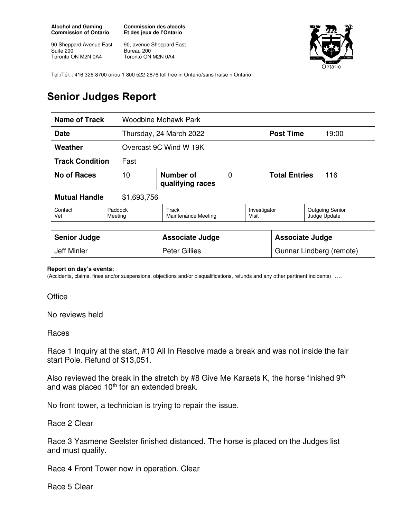**Alcohol and Gaming Commission of Ontario** 

90 Sheppard Avenue East Suite 200 Toronto ON M2N 0A4

**Commission des alcools Et des jeux de l'Ontario** 

90, avenue Sheppard East Bureau 200 Toronto ON M2N 0A4



Tel./Tél. : 416 326-8700 or/ou 1 800 522-2876 toll free in Ontario/sans fraise n Ontario

## **Senior Judges Report**

| <b>Name of Track</b><br>Woodbine Mohawk Park |                                          |                                     |  |                          |                             |                                        |
|----------------------------------------------|------------------------------------------|-------------------------------------|--|--------------------------|-----------------------------|----------------------------------------|
| <b>Date</b>                                  |                                          | Thursday, 24 March 2022             |  | <b>Post Time</b>         | 19:00                       |                                        |
| Weather                                      |                                          | Overcast 9C Wind W 19K              |  |                          |                             |                                        |
| <b>Track Condition</b><br>Fast               |                                          |                                     |  |                          |                             |                                        |
| <b>No of Races</b>                           | Number of<br>0<br>10<br>qualifying races |                                     |  |                          | <b>Total Entries</b><br>116 |                                        |
| <b>Mutual Handle</b><br>\$1,693,756          |                                          |                                     |  |                          |                             |                                        |
| Contact<br>Vet                               | Paddock<br>Meeting                       | Track<br><b>Maintenance Meeting</b> |  | Investigator<br>Visit    |                             | <b>Outgoing Senior</b><br>Judge Update |
|                                              |                                          |                                     |  |                          |                             |                                        |
| <b>Senior Judge</b>                          |                                          | <b>Associate Judge</b>              |  |                          | <b>Associate Judge</b>      |                                        |
| <b>Jeff Minler</b>                           |                                          | <b>Peter Gillies</b>                |  | Gunnar Lindberg (remote) |                             |                                        |

## **Report on day's events:**

(Accidents, claims, fines and/or suspensions, objections and/or disqualifications, refunds and any other pertinent incidents) ….

**Office** 

No reviews held

## Races

Race 1 Inquiry at the start, #10 All In Resolve made a break and was not inside the fair start Pole. Refund of \$13,051.

Also reviewed the break in the stretch by #8 Give Me Karaets K, the horse finished  $9<sup>th</sup>$ and was placed 10<sup>th</sup> for an extended break.

No front tower, a technician is trying to repair the issue.

Race 2 Clear

Race 3 Yasmene Seelster finished distanced. The horse is placed on the Judges list and must qualify.

Race 4 Front Tower now in operation. Clear

Race 5 Clear